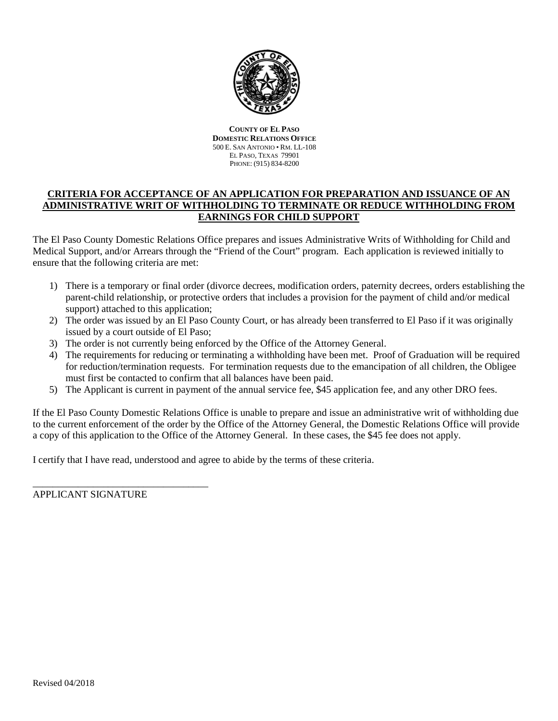

**COUNTY OF EL PASO DOMESTIC RELATIONS OFFICE** 500 E. SAN ANTONIO • RM. LL-108 EL PASO, TEXAS 79901 PHONE: (915) 834-8200

# **CRITERIA FOR ACCEPTANCE OF AN APPLICATION FOR PREPARATION AND ISSUANCE OF AN ADMINISTRATIVE WRIT OF WITHHOLDING TO TERMINATE OR REDUCE WITHHOLDING FROM EARNINGS FOR CHILD SUPPORT**

The El Paso County Domestic Relations Office prepares and issues Administrative Writs of Withholding for Child and Medical Support, and/or Arrears through the "Friend of the Court" program. Each application is reviewed initially to ensure that the following criteria are met:

- 1) There is a temporary or final order (divorce decrees, modification orders, paternity decrees, orders establishing the parent-child relationship, or protective orders that includes a provision for the payment of child and/or medical support) attached to this application;
- 2) The order was issued by an El Paso County Court, or has already been transferred to El Paso if it was originally issued by a court outside of El Paso;
- 3) The order is not currently being enforced by the Office of the Attorney General.
- 4) The requirements for reducing or terminating a withholding have been met. Proof of Graduation will be required for reduction/termination requests. For termination requests due to the emancipation of all children, the Obligee must first be contacted to confirm that all balances have been paid.
- 5) The Applicant is current in payment of the annual service fee, \$45 application fee, and any other DRO fees.

If the El Paso County Domestic Relations Office is unable to prepare and issue an administrative writ of withholding due to the current enforcement of the order by the Office of the Attorney General, the Domestic Relations Office will provide a copy of this application to the Office of the Attorney General. In these cases, the \$45 fee does not apply.

I certify that I have read, understood and agree to abide by the terms of these criteria.

APPLICANT SIGNATURE

\_\_\_\_\_\_\_\_\_\_\_\_\_\_\_\_\_\_\_\_\_\_\_\_\_\_\_\_\_\_\_\_\_\_\_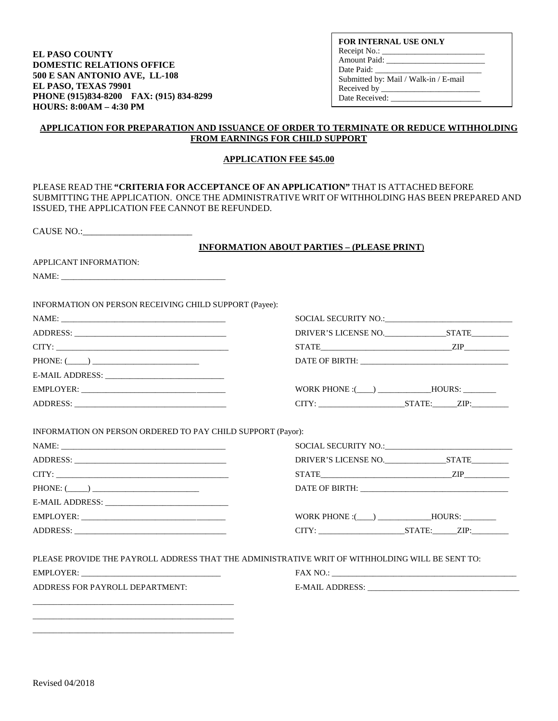**EL PASO COUNTY DOMESTIC RELATIONS OFFICE 500 E SAN ANTONIO AVE, LL-108 EL PASO, TEXAS 79901 PHONE (915)834-8200 FAX: (915) 834-8299 HOURS: 8:00AM – 4:30 PM** 

**FOR INTERNAL USE ONLY** Receipt No.: \_ Amount Paid: \_\_\_\_\_\_\_\_\_\_\_\_\_\_\_\_\_\_\_\_\_\_\_\_ Date Paid: Submitted by: Mail / Walk-in / E-mail Received by \_\_\_\_\_\_\_\_\_\_\_\_\_\_\_\_\_\_\_\_\_\_\_\_ Date Received: \_\_\_

#### **APPLICATION FOR PREPARATION AND ISSUANCE OF ORDER TO TERMINATE OR REDUCE WITHHOLDING FROM EARNINGS FOR CHILD SUPPORT**

#### **APPLICATION FEE \$45.00**

| PLEASE READ THE "CRITERIA FOR ACCEPTANCE OF AN APPLICATION" THAT IS ATTACHED BEFORE<br>SUBMITTING THE APPLICATION. ONCE THE ADMINISTRATIVE WRIT OF WITHHOLDING HAS BEEN PREPARED AND<br>ISSUED, THE APPLICATION FEE CANNOT BE REFUNDED.                                                                                                                          |                                                   |  |
|------------------------------------------------------------------------------------------------------------------------------------------------------------------------------------------------------------------------------------------------------------------------------------------------------------------------------------------------------------------|---------------------------------------------------|--|
| CAUSE NO.:                                                                                                                                                                                                                                                                                                                                                       |                                                   |  |
|                                                                                                                                                                                                                                                                                                                                                                  | <b>INFORMATION ABOUT PARTIES - (PLEASE PRINT)</b> |  |
| APPLICANT INFORMATION:                                                                                                                                                                                                                                                                                                                                           |                                                   |  |
|                                                                                                                                                                                                                                                                                                                                                                  |                                                   |  |
| INFORMATION ON PERSON RECEIVING CHILD SUPPORT (Payee):                                                                                                                                                                                                                                                                                                           |                                                   |  |
|                                                                                                                                                                                                                                                                                                                                                                  | SOCIAL SECURITY NO.:                              |  |
|                                                                                                                                                                                                                                                                                                                                                                  |                                                   |  |
| $CITY: \begin{tabular}{ c c c c } \hline \rule{0.2cm}{.03cm} & \rule{0.2cm}{.03cm} & \rule{0.2cm}{.03cm} \rule{0.2cm}{.03cm} & \rule{0.2cm}{.03cm} & \rule{0.2cm}{.03cm} \rule{0.2cm}{.03cm} & \rule{0.2cm}{.03cm} & \rule{0.2cm}{.03cm} \rule{0.2cm}{.03cm} & \rule{0.2cm}{.03cm} & \rule{0.2cm}{.03cm} & \rule{0.2cm}{.03cm} & \rule{0.2cm}{.03cm} & \rule{0.$ | $STATE$                                           |  |
| $PHONE: (________)$                                                                                                                                                                                                                                                                                                                                              |                                                   |  |
|                                                                                                                                                                                                                                                                                                                                                                  |                                                   |  |
| EMPLOYER:                                                                                                                                                                                                                                                                                                                                                        |                                                   |  |
|                                                                                                                                                                                                                                                                                                                                                                  |                                                   |  |
| INFORMATION ON PERSON ORDERED TO PAY CHILD SUPPORT (Payor):                                                                                                                                                                                                                                                                                                      |                                                   |  |
|                                                                                                                                                                                                                                                                                                                                                                  |                                                   |  |
|                                                                                                                                                                                                                                                                                                                                                                  |                                                   |  |
| CITY:                                                                                                                                                                                                                                                                                                                                                            | $STATE$                                           |  |
| $PHONE: (\_\_))$                                                                                                                                                                                                                                                                                                                                                 | DATE OF BIRTH:                                    |  |
| E-MAIL ADDRESS: New York Street, and the street of the street of the street of the street of the street of the                                                                                                                                                                                                                                                   |                                                   |  |
| EMPLOYER:                                                                                                                                                                                                                                                                                                                                                        |                                                   |  |
|                                                                                                                                                                                                                                                                                                                                                                  | $CITY:$ $STATE:$ $ZIP:$                           |  |
| PLEASE PROVIDE THE PAYROLL ADDRESS THAT THE ADMINISTRATIVE WRIT OF WITHHOLDING WILL BE SENT TO:                                                                                                                                                                                                                                                                  |                                                   |  |
| EMPLOYER:                                                                                                                                                                                                                                                                                                                                                        | FAX NO.:                                          |  |
| ADDRESS FOR PAYROLL DEPARTMENT:                                                                                                                                                                                                                                                                                                                                  | E-MAIL ADDRESS:                                   |  |
|                                                                                                                                                                                                                                                                                                                                                                  |                                                   |  |

\_\_\_\_\_\_\_\_\_\_\_\_\_\_\_\_\_\_\_\_\_\_\_\_\_\_\_\_\_\_\_\_\_\_\_\_\_\_\_\_\_\_\_\_\_\_\_\_\_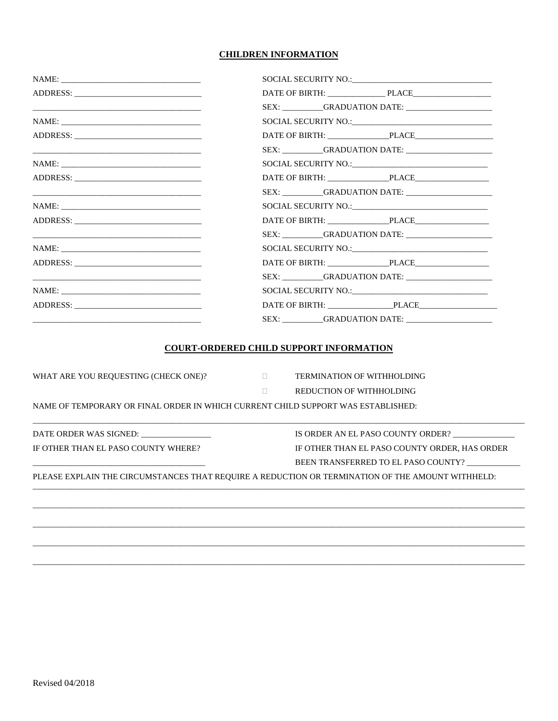### **CHILDREN INFORMATION**

|                                                                                           | DATE OF BIRTH: PLACE                                                                             |  |
|-------------------------------------------------------------------------------------------|--------------------------------------------------------------------------------------------------|--|
|                                                                                           |                                                                                                  |  |
|                                                                                           |                                                                                                  |  |
|                                                                                           |                                                                                                  |  |
| the control of the control of the control of the control of the control of the control of |                                                                                                  |  |
|                                                                                           |                                                                                                  |  |
|                                                                                           | DATE OF BIRTH: PLACE                                                                             |  |
|                                                                                           |                                                                                                  |  |
|                                                                                           |                                                                                                  |  |
|                                                                                           |                                                                                                  |  |
|                                                                                           |                                                                                                  |  |
|                                                                                           |                                                                                                  |  |
|                                                                                           |                                                                                                  |  |
|                                                                                           | SEX: GRADUATION DATE:                                                                            |  |
|                                                                                           |                                                                                                  |  |
|                                                                                           |                                                                                                  |  |
|                                                                                           |                                                                                                  |  |
|                                                                                           | <b>COURT-ORDERED CHILD SUPPORT INFORMATION</b>                                                   |  |
| WHAT ARE YOU REQUESTING (CHECK ONE)?                                                      | <b>TERMINATION OF WITHHOLDING</b><br>$\Box$                                                      |  |
|                                                                                           | REDUCTION OF WITHHOLDING<br>$\Box$                                                               |  |
| NAME OF TEMPORARY OR FINAL ORDER IN WHICH CURRENT CHILD SUPPORT WAS ESTABLISHED:          |                                                                                                  |  |
| DATE ORDER WAS SIGNED:                                                                    | IS ORDER AN EL PASO COUNTY ORDER? ___________                                                    |  |
| IF OTHER THAN EL PASO COUNTY WHERE?                                                       | IF OTHER THAN EL PASO COUNTY ORDER, HAS ORDER                                                    |  |
|                                                                                           | BEEN TRANSFERRED TO EL PASO COUNTY?                                                              |  |
|                                                                                           | PLEASE EXPLAIN THE CIRCUMSTANCES THAT REQUIRE A REDUCTION OR TERMINATION OF THE AMOUNT WITHHELD: |  |
|                                                                                           |                                                                                                  |  |
|                                                                                           |                                                                                                  |  |
|                                                                                           |                                                                                                  |  |
|                                                                                           |                                                                                                  |  |
|                                                                                           |                                                                                                  |  |
|                                                                                           |                                                                                                  |  |